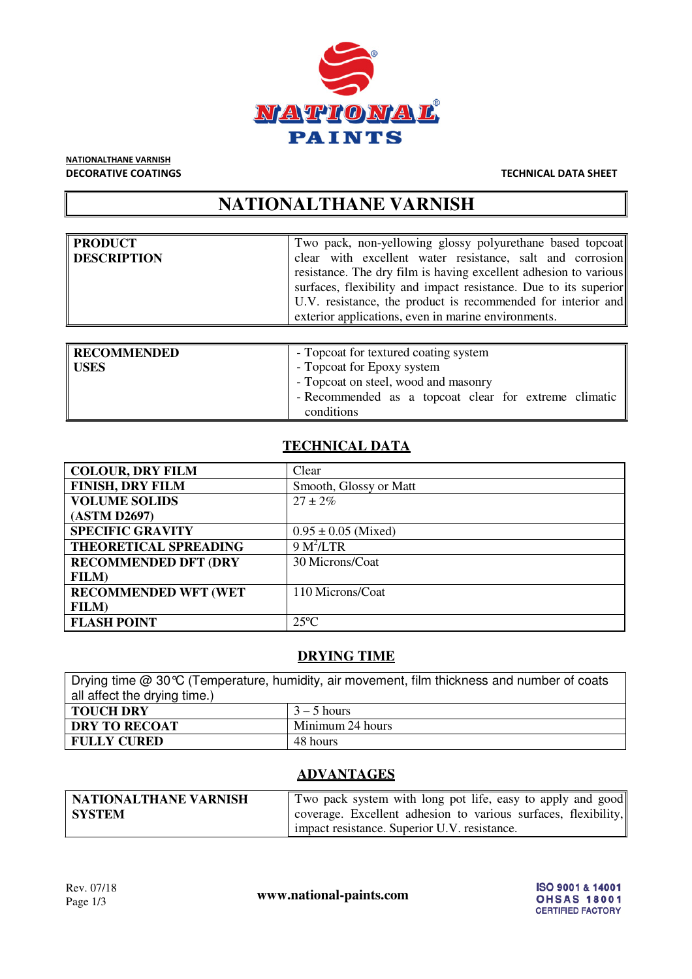

## NATIONALTHANE VARNISH

#### DECORATIVE COATINGS TECHNICAL DATA SHEET

## **NATIONALTHANE VARNISH**

| <b>PRODUCT</b> | Two pack, non-yellowing glossy polyurethane based topcoat                                                                                                                                                                                                   |
|----------------|-------------------------------------------------------------------------------------------------------------------------------------------------------------------------------------------------------------------------------------------------------------|
| DESCRIPTION    | clear with excellent water resistance, salt and corrosion                                                                                                                                                                                                   |
|                | resistance. The dry film is having excellent adhesion to various<br>surfaces, flexibility and impact resistance. Due to its superior<br>U.V. resistance, the product is recommended for interior and<br>exterior applications, even in marine environments. |

| RECOMMENDED | - Topcoat for textured coating system                 |
|-------------|-------------------------------------------------------|
| USES        | - Topcoat for Epoxy system                            |
|             | - Topcoat on steel, wood and masonry                  |
|             | - Recommended as a topcoat clear for extreme climatic |
|             | conditions                                            |

### **TECHNICAL DATA**

| <b>COLOUR, DRY FILM</b>      | Clear                   |
|------------------------------|-------------------------|
| <b>FINISH, DRY FILM</b>      | Smooth, Glossy or Matt  |
| <b>VOLUME SOLIDS</b>         | $27 \pm 2\%$            |
| (ASTM D2697)                 |                         |
| <b>SPECIFIC GRAVITY</b>      | $0.95 \pm 0.05$ (Mixed) |
| THEORETICAL SPREADING        | 9 M <sup>2</sup> /LTR   |
| <b>RECOMMENDED DFT (DRY)</b> | 30 Microns/Coat         |
| <b>FILM</b> )                |                         |
| <b>RECOMMENDED WFT (WET</b>  | 110 Microns/Coat        |
| <b>FILM</b> )                |                         |
| <b>FLASH POINT</b>           | $25^{\circ}$ C          |

#### **DRYING TIME**

| Drying time $@30^{\circ}C$ (Temperature, humidity, air movement, film thickness and number of coats |               |  |
|-----------------------------------------------------------------------------------------------------|---------------|--|
| all affect the drying time.)                                                                        |               |  |
| TOUCH DRY                                                                                           | $3 - 5$ hours |  |
| <b>DRY TO RECOAT</b><br>Minimum 24 hours                                                            |               |  |
| FULLY CURED                                                                                         | 48 hours      |  |

#### **ADVANTAGES**

| NATIONALTHANE VARNISH | Two pack system with long pot life, easy to apply and good     |
|-----------------------|----------------------------------------------------------------|
| <b>SYSTEM</b>         | coverage. Excellent adhesion to various surfaces, flexibility, |
|                       | impact resistance. Superior U.V. resistance.                   |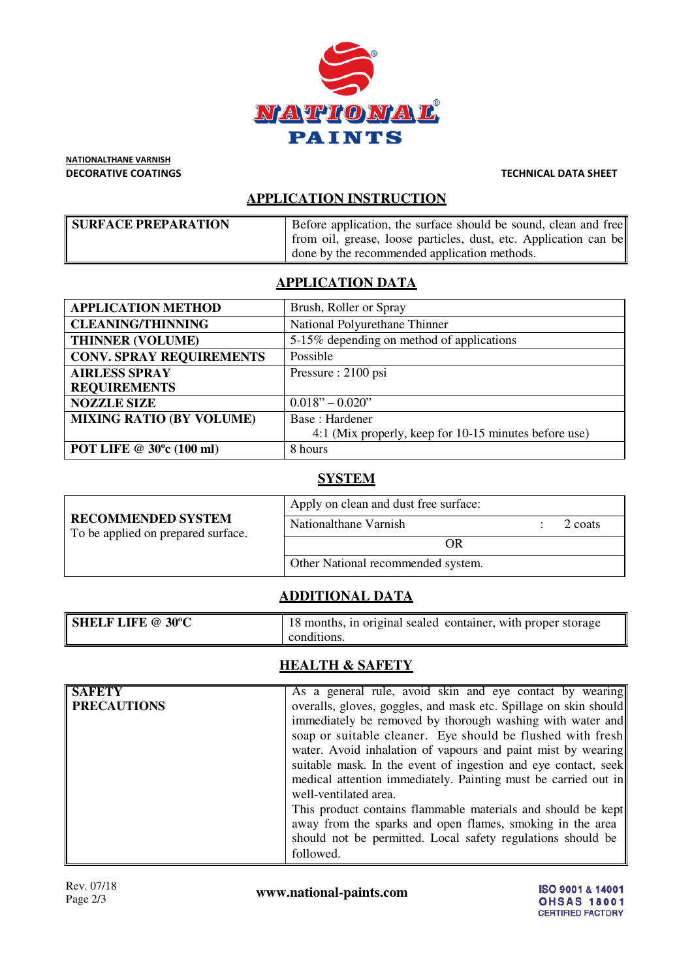

NATIONALTHANE VARNISH DECORATIVE COATINGS TECHNICAL DATA SHEET

#### **APPLICATION INSTRUCTION**

| <b>SURFACE PREPARATION</b> | Before application, the surface should be sound, clean and free  |
|----------------------------|------------------------------------------------------------------|
|                            | from oil, grease, loose particles, dust, etc. Application can be |
|                            | done by the recommended application methods.                     |

#### **APPLICATION DATA**

| <b>APPLICATION METHOD</b>       | Brush, Roller or Spray                                |  |
|---------------------------------|-------------------------------------------------------|--|
| <b>CLEANING/THINNING</b>        | National Polyurethane Thinner                         |  |
| <b>THINNER (VOLUME)</b>         | 5-15% depending on method of applications             |  |
| <b>CONV. SPRAY REQUIREMENTS</b> | Possible                                              |  |
| <b>AIRLESS SPRAY</b>            | Pressure: 2100 psi                                    |  |
| <b>REQUIREMENTS</b>             |                                                       |  |
| <b>NOZZLE SIZE</b>              | $0.018" - 0.020"$                                     |  |
| <b>MIXING RATIO (BY VOLUME)</b> | Base: Hardener                                        |  |
|                                 | 4:1 (Mix properly, keep for 10-15 minutes before use) |  |
| POT LIFE @ 30°c (100 ml)        | 8 hours                                               |  |

#### **SYSTEM**

| <b>RECOMMENDED SYSTEM</b><br>To be applied on prepared surface. | Apply on clean and dust free surface: |         |
|-----------------------------------------------------------------|---------------------------------------|---------|
|                                                                 | Nationalthane Varnish                 | 2 coats |
|                                                                 | OR                                    |         |
|                                                                 | Other National recommended system.    |         |

#### **ADDITIONAL DATA**

| <b>SHELF LIFE @ 30°C</b> | <sup>1</sup> 18 months, in original sealed container, with proper storage |
|--------------------------|---------------------------------------------------------------------------|
|                          | conditions.                                                               |

#### **HEALTH & SAFETY**

| <b>SAFETY</b>      | As a general rule, avoid skin and eye contact by wearing         |  |
|--------------------|------------------------------------------------------------------|--|
| <b>PRECAUTIONS</b> | overalls, gloves, goggles, and mask etc. Spillage on skin should |  |
|                    | immediately be removed by thorough washing with water and        |  |
|                    | soap or suitable cleaner. Eye should be flushed with fresh       |  |
|                    | water. Avoid inhalation of vapours and paint mist by wearing     |  |
|                    | suitable mask. In the event of ingestion and eye contact, seek   |  |
|                    | medical attention immediately. Painting must be carried out in   |  |
|                    | well-ventilated area.                                            |  |
|                    | This product contains flammable materials and should be kept     |  |
|                    | away from the sparks and open flames, smoking in the area        |  |
|                    | should not be permitted. Local safety regulations should be      |  |
|                    | followed.                                                        |  |